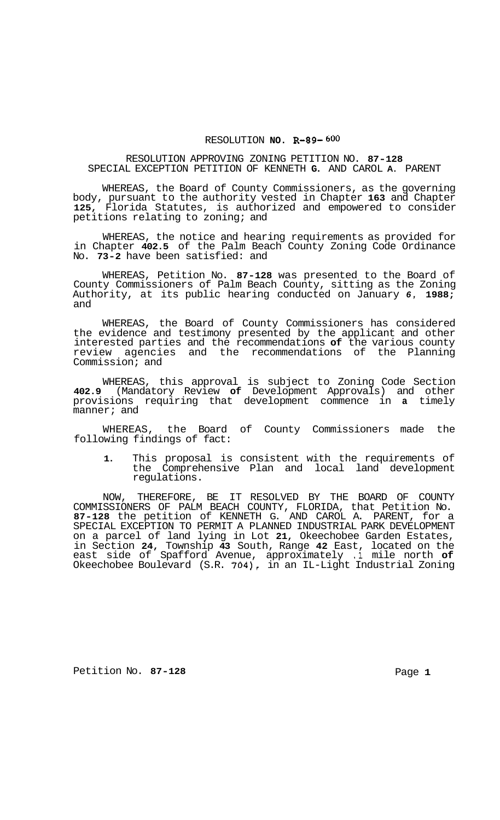## RESOLUTION **NO. R-89- 600**

## RESOLUTION APPROVING ZONING PETITION NO. **87-128**  SPECIAL EXCEPTION PETITION OF KENNETH **G.** AND CAROL **A.** PARENT

WHEREAS, the Board of County Commissioners, as the governing body, pursuant to the authority vested in Chapter **163** and Chapter **125,** Florida Statutes, is authorized and empowered to consider petitions relating to zoning; and

WHEREAS, the notice and hearing requirements as provided for in Chapter **402.5** of the Palm Beach County Zoning Code Ordinance No. **73-2** have been satisfied: and

WHEREAS, Petition No. **87-128** was presented to the Board of County Commissioners of Palm Beach County, sitting as the Zoning Authority, at its public hearing conducted on January *6,* **1988;**  and

WHEREAS, the Board of County Commissioners has considered the evidence and testimony presented by the applicant and other interested parties and the recommendations **of** the various county review agencies and the recommendations of the Planning Commission; and

WHEREAS, this approval is subject to Zoning Code Section **402.9** (Mandatory Review **of** Development Approvals) and other provisions requiring that development commence in **a** timely manner; and

WHEREAS, the Board of County Commissioners made the following findings of fact:

**1.** This proposal is consistent with the requirements of the Comprehensive Plan and local land development regulations.

NOW, THEREFORE, BE IT RESOLVED BY THE BOARD OF COUNTY COMMISSIONERS OF PALM BEACH COUNTY, FLORIDA, that Petition No. **87-128** the petition of KENNETH G. AND CAROL A. PARENT, for a SPECIAL EXCEPTION TO PERMIT A PLANNED INDUSTRIAL PARK DEVELOPMENT on a parcel of land lying in Lot **21,** Okeechobee Garden Estates, in Section **24,** Township **43** South, Range **42** East, located on the east side of Spafford Avenue, approximately **.1** mile north **of**  Okeechobee Boulevard (S.R. **704),** in an IL-Light Industrial Zoning

Petition No. 87-128 **Page 1 Page 1**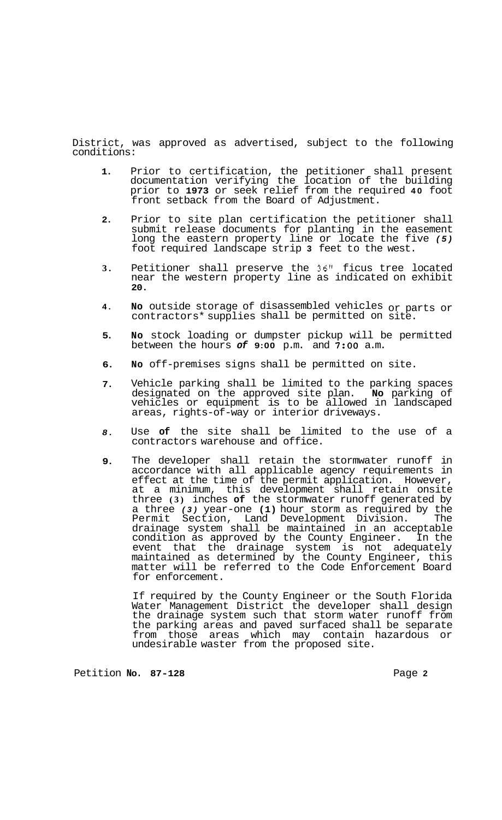District, was approved as advertised, subject to the following conditions:

- **1.**  Prior to certification, the petitioner shall present documentation verifying the location of the building prior to **1973** or seek relief from the required **40** foot front setback from the Board of Adjustment.
- **2.**  Prior to site plan certification the petitioner shall submit release documents for planting in the easement long the eastern property line or locate the five *(5)*  foot required landscape strip **3** feet to the west.
- **3.**  Petitioner shall preserve the **36"** ficus tree located near the western property line as indicated on exhibit **20.**
- **4. No** outside storage of disassembled vehicles or parts or contractors\* supplies shall be permitted on site.
- **5. No** stock loading or dumpster pickup will be permitted between the hours *of* **9:00** p.m. and **7:OO** a.m.
- **6. No** off-premises signs shall be permitted on site.
- **7.**  Vehicle parking shall be limited to the parking spaces designated on the approved site plan. **No** parking of vehicles or equipment is to be allowed in landscaped areas, rights-of-way or interior driveways.
- *8.*  Use **of** the site shall be limited to the use of a contractors warehouse and office.
- **9.**  The developer shall retain the stormwater runoff in accordance with all applicable agency requirements in effect at the time of the permit application. However, at a minimum, this development shall retain onsite three **(3)** inches **of** the stormwater runoff generated by a three *(3)* year-one **(1)** hour storm as required by the Permit Section, Land Development Division. The drainage system shall be maintained in an acceptable condition as approved by the County Engineer. In the event that the drainage system is not adequately maintained as determined by the County Engineer, this matter will be referred to the Code Enforcement Board for enforcement.

If required by the County Engineer or the South Florida Water Management District the developer shall design the drainage system such that storm water runoff from the parking areas and paved surfaced shall be separate from those areas which may contain hazardous or undesirable waster from the proposed site.

Petition No. 87-128 **Page 2**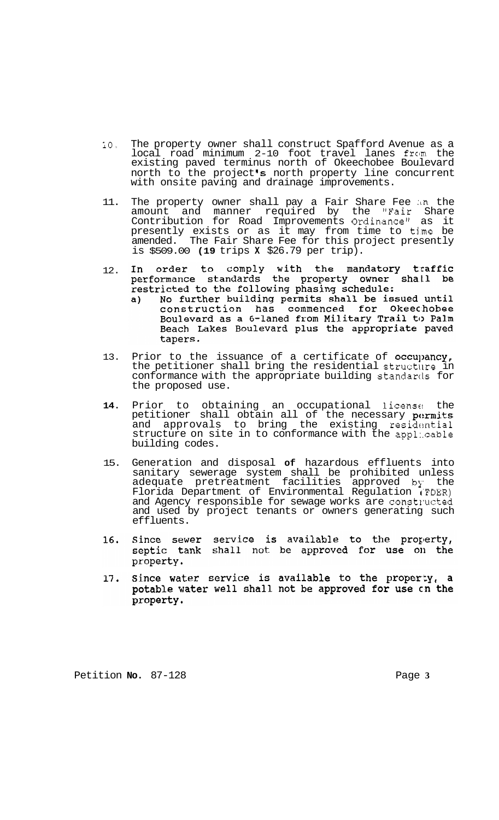- lo. The property owner shall construct Spafford Avenue as a local road minimum 2-10 foot travel lanes from the existing paved terminus north of Okeechobee Boulevard north to the project's north property line concurrent with onsite paving and drainage improvements.
- 11. The property owner shall pay a Fair Share Fee in the amount and manner required by the "Fair Share Contribution for Road Improvements Ordinancell as it presently exists or as it may from time to time be amended. The Fair Share Fee for this project presently is \$509.00 **(19** trips **X** \$26.79 per trip).
- In order to comply with the mandatory traffic<br>performance standards the property owner shall be In 12. restricted to the following phasing schedule:
	- No further building permits shall be issued until  $a)$ construction has commenced for Okeechobee Boulevard as a 6-laned from Military Trail to Palm<br>Beach Lakes Boulevard plus the appropriate paved tapers.
- 13. Prior to the issuance of a certificate of occupancy, the petitioner shall bring the residential structure in conformance with the appropriate building standards for the proposed use.
- 14. Prior to obtaining an occupational licens<sup>e</sup> the petitioner shall obtain all of the necessary permits and approvals to bring the existing residential structure on site in to conformance with the appl:.cable building codes.
- 15. Generation and disposal **of** hazardous effluents into sanitary sewerage system shall be prohibited unless adequate pretreatment facilities approved by the Florida Department of Environmental Regulation IFDER) and Agency responsible for sewage works are constructed and used by project tenants or owners generating such effluents.
- Since sewer service is available to the property, 16. septic tank shall not be approved for use on the property.
- Since water service is available to the property, a 17. potable water well shall not be approved for use on the property.

Petition **No.** 87-128 **Page 3**